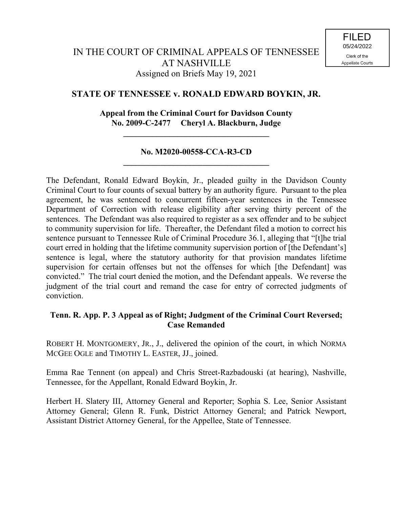# **STATE OF TENNESSEE v. RONALD EDWARD BOYKIN, JR.**

## **Appeal from the Criminal Court for Davidson County No. 2009-C-2477 Cheryl A. Blackburn, Judge**

**\_\_\_\_\_\_\_\_\_\_\_\_\_\_\_\_\_\_\_\_\_\_\_\_\_\_\_\_\_\_\_\_\_\_\_**

#### **No. M2020-00558-CCA-R3-CD \_\_\_\_\_\_\_\_\_\_\_\_\_\_\_\_\_\_\_\_\_\_\_\_\_\_\_\_\_\_\_\_\_\_\_**

The Defendant, Ronald Edward Boykin, Jr., pleaded guilty in the Davidson County Criminal Court to four counts of sexual battery by an authority figure. Pursuant to the plea agreement, he was sentenced to concurrent fifteen-year sentences in the Tennessee Department of Correction with release eligibility after serving thirty percent of the sentences. The Defendant was also required to register as a sex offender and to be subject to community supervision for life. Thereafter, the Defendant filed a motion to correct his sentence pursuant to Tennessee Rule of Criminal Procedure 36.1, alleging that "[t]he trial court erred in holding that the lifetime community supervision portion of [the Defendant's] sentence is legal, where the statutory authority for that provision mandates lifetime supervision for certain offenses but not the offenses for which [the Defendant] was convicted." The trial court denied the motion, and the Defendant appeals. We reverse the judgment of the trial court and remand the case for entry of corrected judgments of conviction.

## **Tenn. R. App. P. 3 Appeal as of Right; Judgment of the Criminal Court Reversed; Case Remanded**

ROBERT H. MONTGOMERY, JR., J., delivered the opinion of the court, in which NORMA MCGEE OGLE and TIMOTHY L. EASTER, JJ., joined.

Emma Rae Tennent (on appeal) and Chris Street-Razbadouski (at hearing), Nashville, Tennessee, for the Appellant, Ronald Edward Boykin, Jr.

Herbert H. Slatery III, Attorney General and Reporter; Sophia S. Lee, Senior Assistant Attorney General; Glenn R. Funk, District Attorney General; and Patrick Newport, Assistant District Attorney General, for the Appellee, State of Tennessee.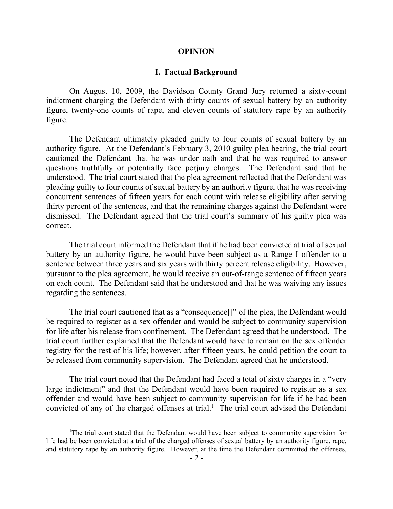#### **OPINION**

#### **I. Factual Background**

On August 10, 2009, the Davidson County Grand Jury returned a sixty-count indictment charging the Defendant with thirty counts of sexual battery by an authority figure, twenty-one counts of rape, and eleven counts of statutory rape by an authority figure.

The Defendant ultimately pleaded guilty to four counts of sexual battery by an authority figure. At the Defendant's February 3, 2010 guilty plea hearing, the trial court cautioned the Defendant that he was under oath and that he was required to answer questions truthfully or potentially face perjury charges. The Defendant said that he understood. The trial court stated that the plea agreement reflected that the Defendant was pleading guilty to four counts of sexual battery by an authority figure, that he was receiving concurrent sentences of fifteen years for each count with release eligibility after serving thirty percent of the sentences, and that the remaining charges against the Defendant were dismissed. The Defendant agreed that the trial court's summary of his guilty plea was correct.

The trial court informed the Defendant that if he had been convicted at trial of sexual battery by an authority figure, he would have been subject as a Range I offender to a sentence between three years and six years with thirty percent release eligibility. However, pursuant to the plea agreement, he would receive an out-of-range sentence of fifteen years on each count. The Defendant said that he understood and that he was waiving any issues regarding the sentences.

The trial court cautioned that as a "consequence[]" of the plea, the Defendant would be required to register as a sex offender and would be subject to community supervision for life after his release from confinement. The Defendant agreed that he understood. The trial court further explained that the Defendant would have to remain on the sex offender registry for the rest of his life; however, after fifteen years, he could petition the court to be released from community supervision. The Defendant agreed that he understood.

The trial court noted that the Defendant had faced a total of sixty charges in a "very large indictment" and that the Defendant would have been required to register as a sex offender and would have been subject to community supervision for life if he had been convicted of any of the charged offenses at trial.<sup>1</sup> The trial court advised the Defendant

 $\overline{a}$ 

<sup>&</sup>lt;sup>1</sup>The trial court stated that the Defendant would have been subject to community supervision for life had be been convicted at a trial of the charged offenses of sexual battery by an authority figure, rape, and statutory rape by an authority figure. However, at the time the Defendant committed the offenses,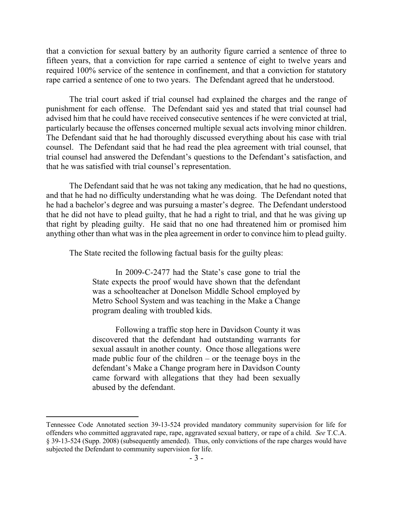that a conviction for sexual battery by an authority figure carried a sentence of three to fifteen years, that a conviction for rape carried a sentence of eight to twelve years and required 100% service of the sentence in confinement, and that a conviction for statutory rape carried a sentence of one to two years. The Defendant agreed that he understood.

The trial court asked if trial counsel had explained the charges and the range of punishment for each offense. The Defendant said yes and stated that trial counsel had advised him that he could have received consecutive sentences if he were convicted at trial, particularly because the offenses concerned multiple sexual acts involving minor children. The Defendant said that he had thoroughly discussed everything about his case with trial counsel. The Defendant said that he had read the plea agreement with trial counsel, that trial counsel had answered the Defendant's questions to the Defendant's satisfaction, and that he was satisfied with trial counsel's representation.

The Defendant said that he was not taking any medication, that he had no questions, and that he had no difficulty understanding what he was doing. The Defendant noted that he had a bachelor's degree and was pursuing a master's degree. The Defendant understood that he did not have to plead guilty, that he had a right to trial, and that he was giving up that right by pleading guilty. He said that no one had threatened him or promised him anything other than what was in the plea agreement in order to convince him to plead guilty.

The State recited the following factual basis for the guilty pleas:

In 2009-C-2477 had the State's case gone to trial the State expects the proof would have shown that the defendant was a schoolteacher at Donelson Middle School employed by Metro School System and was teaching in the Make a Change program dealing with troubled kids.

Following a traffic stop here in Davidson County it was discovered that the defendant had outstanding warrants for sexual assault in another county. Once those allegations were made public four of the children  $-$  or the teenage boys in the defendant's Make a Change program here in Davidson County came forward with allegations that they had been sexually abused by the defendant.

 $\overline{a}$ 

Tennessee Code Annotated section 39-13-524 provided mandatory community supervision for life for offenders who committed aggravated rape, rape, aggravated sexual battery, or rape of a child. *See* T.C.A. § 39-13-524 (Supp. 2008) (subsequently amended). Thus, only convictions of the rape charges would have subjected the Defendant to community supervision for life.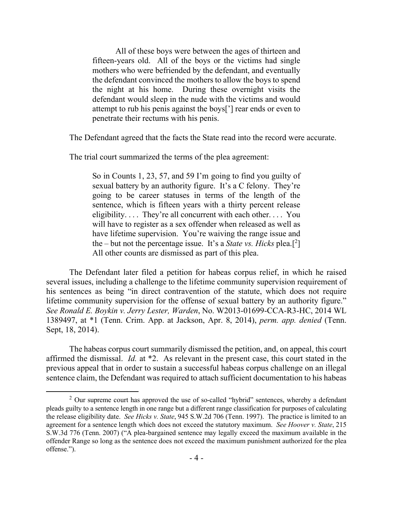All of these boys were between the ages of thirteen and fifteen-years old. All of the boys or the victims had single mothers who were befriended by the defendant, and eventually the defendant convinced the mothers to allow the boys to spend the night at his home. During these overnight visits the defendant would sleep in the nude with the victims and would attempt to rub his penis against the boys['] rear ends or even to penetrate their rectums with his penis.

The Defendant agreed that the facts the State read into the record were accurate.

The trial court summarized the terms of the plea agreement:

So in Counts 1, 23, 57, and 59 I'm going to find you guilty of sexual battery by an authority figure. It's a C felony. They're going to be career statuses in terms of the length of the sentence, which is fifteen years with a thirty percent release eligibility.... They're all concurrent with each other.... You will have to register as a sex offender when released as well as have lifetime supervision. You're waiving the range issue and the – but not the percentage issue. It's a *State vs. Hicks* plea.[ 2 ] All other counts are dismissed as part of this plea.

The Defendant later filed a petition for habeas corpus relief, in which he raised several issues, including a challenge to the lifetime community supervision requirement of his sentences as being "in direct contravention of the statute, which does not require lifetime community supervision for the offense of sexual battery by an authority figure." *See Ronald E. Boykin v. Jerry Lester, Warden*, No. W2013-01699-CCA-R3-HC, 2014 WL 1389497, at \*1 (Tenn. Crim. App. at Jackson, Apr. 8, 2014), *perm. app. denied* (Tenn. Sept, 18, 2014).

The habeas corpus court summarily dismissed the petition, and, on appeal, this court affirmed the dismissal. *Id.* at \*2. As relevant in the present case, this court stated in the previous appeal that in order to sustain a successful habeas corpus challenge on an illegal sentence claim, the Defendant was required to attach sufficient documentation to his habeas

 $\overline{a}$ 

 $2$  Our supreme court has approved the use of so-called "hybrid" sentences, whereby a defendant pleads guilty to a sentence length in one range but a different range classification for purposes of calculating the release eligibility date. *See Hicks v. State*, 945 S.W.2d 706 (Tenn. 1997). The practice is limited to an agreement for a sentence length which does not exceed the statutory maximum. *See Hoover v. State*, 215 S.W.3d 776 (Tenn. 2007) ("A plea-bargained sentence may legally exceed the maximum available in the offender Range so long as the sentence does not exceed the maximum punishment authorized for the plea offense.").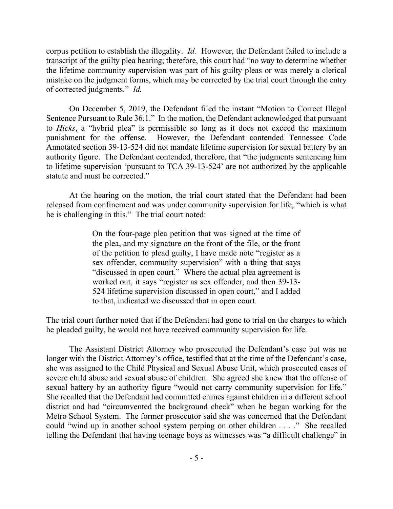corpus petition to establish the illegality. *Id.* However, the Defendant failed to include a transcript of the guilty plea hearing; therefore, this court had "no way to determine whether the lifetime community supervision was part of his guilty pleas or was merely a clerical mistake on the judgment forms, which may be corrected by the trial court through the entry of corrected judgments." *Id.*

On December 5, 2019, the Defendant filed the instant "Motion to Correct Illegal Sentence Pursuant to Rule 36.1." In the motion, the Defendant acknowledged that pursuant to *Hicks*, a "hybrid plea" is permissible so long as it does not exceed the maximum punishment for the offense. However, the Defendant contended Tennessee Code Annotated section 39-13-524 did not mandate lifetime supervision for sexual battery by an authority figure. The Defendant contended, therefore, that "the judgments sentencing him to lifetime supervision 'pursuant to TCA 39-13-524' are not authorized by the applicable statute and must be corrected."

At the hearing on the motion, the trial court stated that the Defendant had been released from confinement and was under community supervision for life, "which is what he is challenging in this." The trial court noted:

> On the four-page plea petition that was signed at the time of the plea, and my signature on the front of the file, or the front of the petition to plead guilty, I have made note "register as a sex offender, community supervision" with a thing that says "discussed in open court." Where the actual plea agreement is worked out, it says "register as sex offender, and then 39-13- 524 lifetime supervision discussed in open court," and I added to that, indicated we discussed that in open court.

The trial court further noted that if the Defendant had gone to trial on the charges to which he pleaded guilty, he would not have received community supervision for life.

The Assistant District Attorney who prosecuted the Defendant's case but was no longer with the District Attorney's office, testified that at the time of the Defendant's case, she was assigned to the Child Physical and Sexual Abuse Unit, which prosecuted cases of severe child abuse and sexual abuse of children. She agreed she knew that the offense of sexual battery by an authority figure "would not carry community supervision for life." She recalled that the Defendant had committed crimes against children in a different school district and had "circumvented the background check" when he began working for the Metro School System. The former prosecutor said she was concerned that the Defendant could "wind up in another school system perping on other children . . . ." She recalled telling the Defendant that having teenage boys as witnesses was "a difficult challenge" in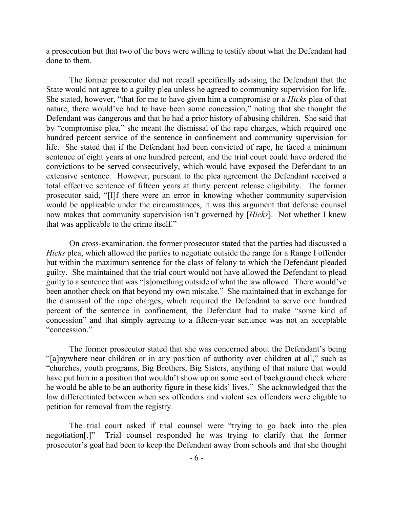a prosecution but that two of the boys were willing to testify about what the Defendant had done to them.

The former prosecutor did not recall specifically advising the Defendant that the State would not agree to a guilty plea unless he agreed to community supervision for life. She stated, however, "that for me to have given him a compromise or a *Hicks* plea of that nature, there would've had to have been some concession," noting that she thought the Defendant was dangerous and that he had a prior history of abusing children. She said that by "compromise plea," she meant the dismissal of the rape charges, which required one hundred percent service of the sentence in confinement and community supervision for life. She stated that if the Defendant had been convicted of rape, he faced a minimum sentence of eight years at one hundred percent, and the trial court could have ordered the convictions to be served consecutively, which would have exposed the Defendant to an extensive sentence. However, pursuant to the plea agreement the Defendant received a total effective sentence of fifteen years at thirty percent release eligibility. The former prosecutor said, "[I]f there were an error in knowing whether community supervision would be applicable under the circumstances, it was this argument that defense counsel now makes that community supervision isn't governed by [*Hicks*]. Not whether I knew that was applicable to the crime itself."

On cross-examination, the former prosecutor stated that the parties had discussed a *Hicks* plea, which allowed the parties to negotiate outside the range for a Range I offender but within the maximum sentence for the class of felony to which the Defendant pleaded guilty. She maintained that the trial court would not have allowed the Defendant to plead guilty to a sentence that was "[s]omething outside of what the law allowed. There would've been another check on that beyond my own mistake." She maintained that in exchange for the dismissal of the rape charges, which required the Defendant to serve one hundred percent of the sentence in confinement, the Defendant had to make "some kind of concession" and that simply agreeing to a fifteen-year sentence was not an acceptable "concession."

The former prosecutor stated that she was concerned about the Defendant's being "[a]nywhere near children or in any position of authority over children at all," such as "churches, youth programs, Big Brothers, Big Sisters, anything of that nature that would have put him in a position that wouldn't show up on some sort of background check where he would be able to be an authority figure in these kids' lives." She acknowledged that the law differentiated between when sex offenders and violent sex offenders were eligible to petition for removal from the registry.

The trial court asked if trial counsel were "trying to go back into the plea negotiation[.]" Trial counsel responded he was trying to clarify that the former prosecutor's goal had been to keep the Defendant away from schools and that she thought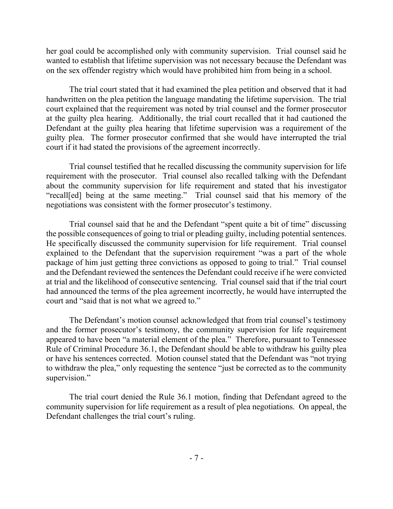her goal could be accomplished only with community supervision. Trial counsel said he wanted to establish that lifetime supervision was not necessary because the Defendant was on the sex offender registry which would have prohibited him from being in a school.

The trial court stated that it had examined the plea petition and observed that it had handwritten on the plea petition the language mandating the lifetime supervision. The trial court explained that the requirement was noted by trial counsel and the former prosecutor at the guilty plea hearing. Additionally, the trial court recalled that it had cautioned the Defendant at the guilty plea hearing that lifetime supervision was a requirement of the guilty plea. The former prosecutor confirmed that she would have interrupted the trial court if it had stated the provisions of the agreement incorrectly.

Trial counsel testified that he recalled discussing the community supervision for life requirement with the prosecutor. Trial counsel also recalled talking with the Defendant about the community supervision for life requirement and stated that his investigator "recall[ed] being at the same meeting." Trial counsel said that his memory of the negotiations was consistent with the former prosecutor's testimony.

Trial counsel said that he and the Defendant "spent quite a bit of time" discussing the possible consequences of going to trial or pleading guilty, including potential sentences. He specifically discussed the community supervision for life requirement. Trial counsel explained to the Defendant that the supervision requirement "was a part of the whole package of him just getting three convictions as opposed to going to trial." Trial counsel and the Defendant reviewed the sentences the Defendant could receive if he were convicted at trial and the likelihood of consecutive sentencing. Trial counsel said that if the trial court had announced the terms of the plea agreement incorrectly, he would have interrupted the court and "said that is not what we agreed to."

The Defendant's motion counsel acknowledged that from trial counsel's testimony and the former prosecutor's testimony, the community supervision for life requirement appeared to have been "a material element of the plea." Therefore, pursuant to Tennessee Rule of Criminal Procedure 36.1, the Defendant should be able to withdraw his guilty plea or have his sentences corrected. Motion counsel stated that the Defendant was "not trying to withdraw the plea," only requesting the sentence "just be corrected as to the community supervision."

The trial court denied the Rule 36.1 motion, finding that Defendant agreed to the community supervision for life requirement as a result of plea negotiations. On appeal, the Defendant challenges the trial court's ruling.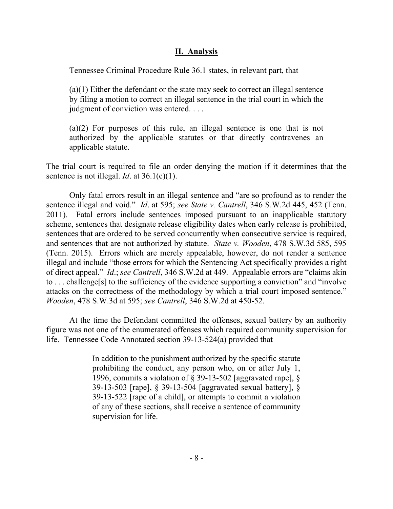## **II. Analysis**

Tennessee Criminal Procedure Rule 36.1 states, in relevant part, that

(a)(1) Either the defendant or the state may seek to correct an illegal sentence by filing a motion to correct an illegal sentence in the trial court in which the judgment of conviction was entered. . . .

(a)(2) For purposes of this rule, an illegal sentence is one that is not authorized by the applicable statutes or that directly contravenes an applicable statute.

The trial court is required to file an order denying the motion if it determines that the sentence is not illegal. *Id*. at 36.1(c)(1).

Only fatal errors result in an illegal sentence and "are so profound as to render the sentence illegal and void." *Id*. at 595; *see State v. Cantrell*, 346 S.W.2d 445, 452 (Tenn. 2011). Fatal errors include sentences imposed pursuant to an inapplicable statutory scheme, sentences that designate release eligibility dates when early release is prohibited, sentences that are ordered to be served concurrently when consecutive service is required, and sentences that are not authorized by statute. *State v. Wooden*, 478 S.W.3d 585, 595 (Tenn. 2015). Errors which are merely appealable, however, do not render a sentence illegal and include "those errors for which the Sentencing Act specifically provides a right of direct appeal." *Id*.; *see Cantrell*, 346 S.W.2d at 449. Appealable errors are "claims akin to . . . challenge[s] to the sufficiency of the evidence supporting a conviction" and "involve attacks on the correctness of the methodology by which a trial court imposed sentence." *Wooden*, 478 S.W.3d at 595; *see Cantrell*, 346 S.W.2d at 450-52.

At the time the Defendant committed the offenses, sexual battery by an authority figure was not one of the enumerated offenses which required community supervision for life. Tennessee Code Annotated section 39-13-524(a) provided that

> In addition to the punishment authorized by the specific statute prohibiting the conduct, any person who, on or after July 1, 1996, commits a violation of § 39-13-502 [aggravated rape], § 39-13-503 [rape], § 39-13-504 [aggravated sexual battery], § 39-13-522 [rape of a child], or attempts to commit a violation of any of these sections, shall receive a sentence of community supervision for life.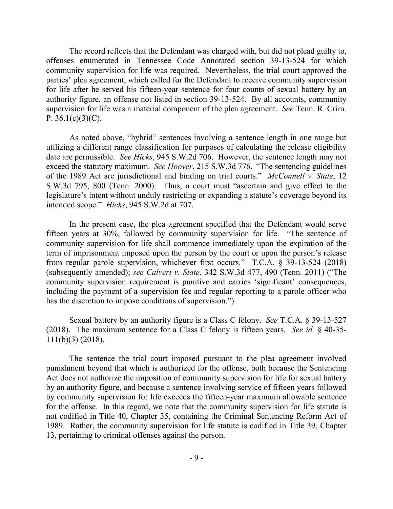The record reflects that the Defendant was charged with, but did not plead guilty to, offenses enumerated in Tennessee Code Annotated section 39-13-524 for which community supervision for life was required. Nevertheless, the trial court approved the parties' plea agreement, which called for the Defendant to receive community supervision for life after he served his fifteen-year sentence for four counts of sexual battery by an authority figure, an offense not listed in section 39-13-524. By all accounts, community supervision for life was a material component of the plea agreement. *See* Tenn. R. Crim. P.  $36.1(c)(3)(C)$ .

As noted above, "hybrid" sentences involving a sentence length in one range but utilizing a different range classification for purposes of calculating the release eligibility date are permissible. *See Hicks*, 945 S.W.2d 706. However, the sentence length may not exceed the statutory maximum. *See Hoover*, 215 S.W.3d 776. "The sentencing guidelines of the 1989 Act are jurisdictional and binding on trial courts." *McConnell v. State*, 12 S.W.3d 795, 800 (Tenn. 2000). Thus, a court must "ascertain and give effect to the legislature's intent without unduly restricting or expanding a statute's coverage beyond its intended scope." *Hicks*, 945 S.W.2d at 707.

In the present case, the plea agreement specified that the Defendant would serve fifteen years at 30%, followed by community supervision for life. "The sentence of community supervision for life shall commence immediately upon the expiration of the term of imprisonment imposed upon the person by the court or upon the person's release from regular parole supervision, whichever first occurs." T.C.A. § 39-13-524 (2018) (subsequently amended); *see Calvert v. State*, 342 S.W.3d 477, 490 (Tenn. 2011) ("The community supervision requirement is punitive and carries 'significant' consequences, including the payment of a supervision fee and regular reporting to a parole officer who has the discretion to impose conditions of supervision.")

Sexual battery by an authority figure is a Class C felony. *See* T.C.A. § 39-13-527 (2018). The maximum sentence for a Class C felony is fifteen years. *See id.* § 40-35- 111(b)(3) (2018).

The sentence the trial court imposed pursuant to the plea agreement involved punishment beyond that which is authorized for the offense, both because the Sentencing Act does not authorize the imposition of community supervision for life for sexual battery by an authority figure, and because a sentence involving service of fifteen years followed by community supervision for life exceeds the fifteen-year maximum allowable sentence for the offense. In this regard, we note that the community supervision for life statute is not codified in Title 40, Chapter 35, containing the Criminal Sentencing Reform Act of 1989. Rather, the community supervision for life statute is codified in Title 39, Chapter 13, pertaining to criminal offenses against the person.